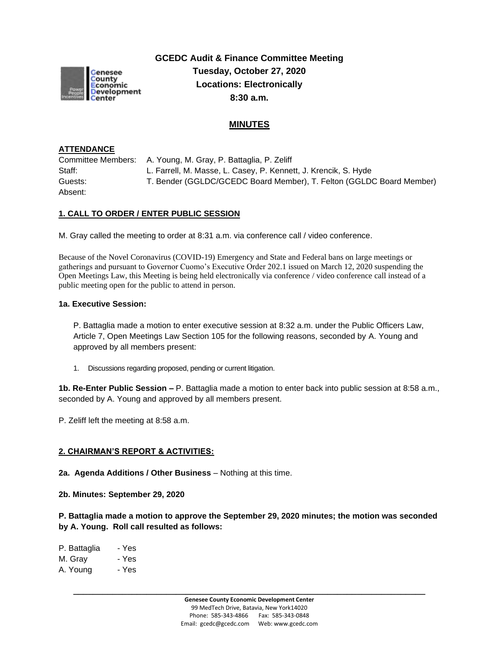

**GCEDC Audit & Finance Committee Meeting Tuesday, October 27, 2020 Locations: Electronically 8:30 a.m.**

# **MINUTES**

### **ATTENDANCE**

Committee Members: A. Young, M. Gray, P. Battaglia, P. Zeliff Staff: L. Farrell, M. Masse, L. Casey, P. Kennett, J. Krencik, S. Hyde Guests: T. Bender (GGLDC/GCEDC Board Member), T. Felton (GGLDC Board Member) Absent:

### **1. CALL TO ORDER / ENTER PUBLIC SESSION**

M. Gray called the meeting to order at 8:31 a.m. via conference call / video conference.

Because of the Novel Coronavirus (COVID-19) Emergency and State and Federal bans on large meetings or gatherings and pursuant to Governor Cuomo's Executive Order 202.1 issued on March 12, 2020 suspending the Open Meetings Law, this Meeting is being held electronically via conference / video conference call instead of a public meeting open for the public to attend in person.

#### **1a. Executive Session:**

P. Battaglia made a motion to enter executive session at 8:32 a.m. under the Public Officers Law, Article 7, Open Meetings Law Section 105 for the following reasons, seconded by A. Young and approved by all members present:

1. Discussions regarding proposed, pending or current litigation.

**1b. Re-Enter Public Session –** P. Battaglia made a motion to enter back into public session at 8:58 a.m., seconded by A. Young and approved by all members present.

P. Zeliff left the meeting at 8:58 a.m.

### **2. CHAIRMAN'S REPORT & ACTIVITIES:**

**2a. Agenda Additions / Other Business** – Nothing at this time.

**2b. Minutes: September 29, 2020**

**P. Battaglia made a motion to approve the September 29, 2020 minutes; the motion was seconded by A. Young. Roll call resulted as follows:**

| P. Battaglia | - Yes |
|--------------|-------|
| M. Gray      | - Yes |
| A. Young     | - Yes |

**\_\_\_\_\_\_\_\_\_\_\_\_\_\_\_\_\_\_\_\_\_\_\_\_\_\_\_\_\_\_\_\_\_\_\_\_\_\_\_\_\_\_\_\_\_\_\_\_\_\_\_\_\_\_\_\_\_\_\_\_\_\_\_\_\_\_\_\_\_\_\_\_**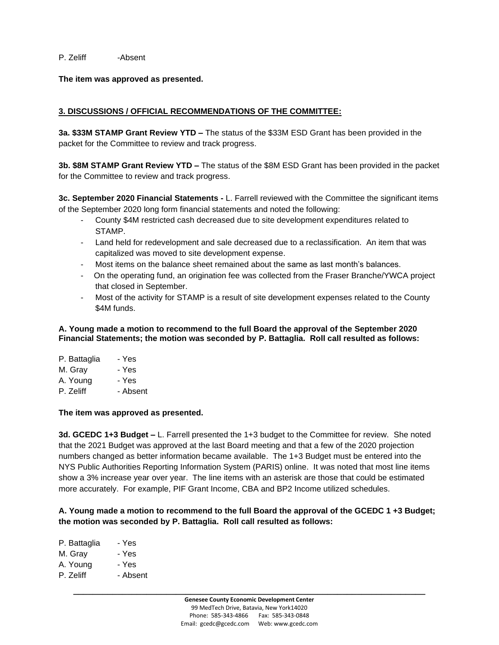P. Zeliff -Absent

**The item was approved as presented.**

## **3. DISCUSSIONS / OFFICIAL RECOMMENDATIONS OF THE COMMITTEE:**

**3a. \$33M STAMP Grant Review YTD –** The status of the \$33M ESD Grant has been provided in the packet for the Committee to review and track progress.

**3b. \$8M STAMP Grant Review YTD –** The status of the \$8M ESD Grant has been provided in the packet for the Committee to review and track progress.

**3c. September 2020 Financial Statements -** L. Farrell reviewed with the Committee the significant items of the September 2020 long form financial statements and noted the following:

- County \$4M restricted cash decreased due to site development expenditures related to STAMP.
- Land held for redevelopment and sale decreased due to a reclassification. An item that was capitalized was moved to site development expense.
- Most items on the balance sheet remained about the same as last month's balances.
- On the operating fund, an origination fee was collected from the Fraser Branche/YWCA project that closed in September.
- Most of the activity for STAMP is a result of site development expenses related to the County \$4M funds.

**A. Young made a motion to recommend to the full Board the approval of the September 2020 Financial Statements; the motion was seconded by P. Battaglia. Roll call resulted as follows:**

P. Battaglia - Yes M. Gray - Yes A. Young - Yes P. Zeliff - Absent

#### **The item was approved as presented.**

**3d. GCEDC 1+3 Budget –** L. Farrell presented the 1+3 budget to the Committee for review. She noted that the 2021 Budget was approved at the last Board meeting and that a few of the 2020 projection numbers changed as better information became available. The 1+3 Budget must be entered into the NYS Public Authorities Reporting Information System (PARIS) online. It was noted that most line items show a 3% increase year over year. The line items with an asterisk are those that could be estimated more accurately. For example, PIF Grant Income, CBA and BP2 Income utilized schedules.

### **A. Young made a motion to recommend to the full Board the approval of the GCEDC 1 +3 Budget; the motion was seconded by P. Battaglia. Roll call resulted as follows:**

- P. Battaglia Yes M. Gray - Yes
- A. Young Yes
- P. Zeliff Absent

**\_\_\_\_\_\_\_\_\_\_\_\_\_\_\_\_\_\_\_\_\_\_\_\_\_\_\_\_\_\_\_\_\_\_\_\_\_\_\_\_\_\_\_\_\_\_\_\_\_\_\_\_\_\_\_\_\_\_\_\_\_\_\_\_\_\_\_\_\_\_\_\_**